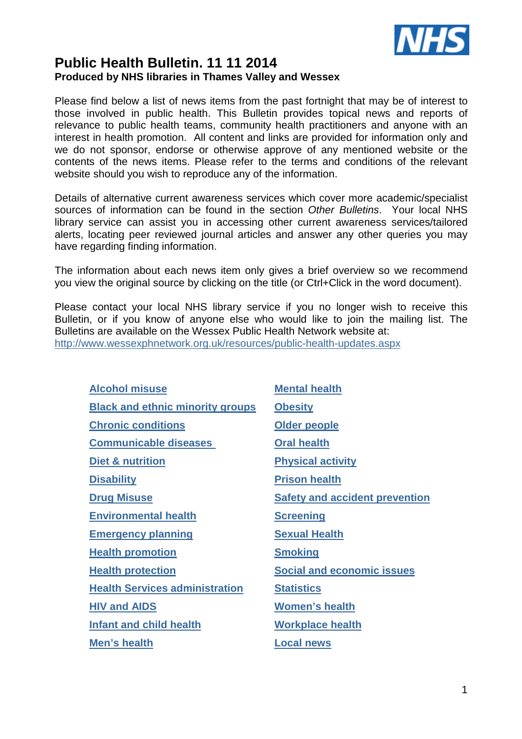

# **Public Health Bulletin. 11 11 2014 Produced by NHS libraries in Thames Valley and Wessex**

Please find below a list of news items from the past fortnight that may be of interest to those involved in public health. This Bulletin provides topical news and reports of relevance to public health teams, community health practitioners and anyone with an interest in health promotion. All content and links are provided for information only and we do not sponsor, endorse or otherwise approve of any mentioned website or the contents of the news items. Please refer to the terms and conditions of the relevant website should you wish to reproduce any of the information.

Details of alternative current awareness services which cover more academic/specialist sources of information can be found in the section Other Bulletins. Your local NHS library service can assist you in accessing other current awareness services/tailored alerts, locating peer reviewed journal articles and answer any other queries you may have regarding finding information.

The information about each news item only gives a brief overview so we recommend you view the original source by clicking on the title (or Ctrl+Click in the word document).

Please contact your local NHS library service if you no longer wish to receive this Bulletin, or if you know of anyone else who would like to join the mailing list. The Bulletins are available on the Wessex Public Health Network website at: http://www.wessexphnetwork.org.uk/resources/public-health-updates.aspx

| <b>Alcohol misuse</b>                   | <b>Mental health</b>                  |
|-----------------------------------------|---------------------------------------|
| <b>Black and ethnic minority groups</b> | <b>Obesity</b>                        |
| <b>Chronic conditions</b>               | Older people                          |
| <b>Communicable diseases</b>            | <b>Oral health</b>                    |
| Diet & nutrition                        | <b>Physical activity</b>              |
| <b>Disability</b>                       | <b>Prison health</b>                  |
| <b>Drug Misuse</b>                      | <b>Safety and accident prevention</b> |
| <b>Environmental health</b>             | <b>Screening</b>                      |
| <b>Emergency planning</b>               | <b>Sexual Health</b>                  |
| <b>Health promotion</b>                 | <b>Smoking</b>                        |
| <b>Health protection</b>                | <b>Social and economic issues</b>     |
| <b>Health Services administration</b>   | <b>Statistics</b>                     |
| <b>HIV and AIDS</b>                     | <b>Women's health</b>                 |
| <b>Infant and child health</b>          | <b>Workplace health</b>               |
| Men's health                            | <b>Local news</b>                     |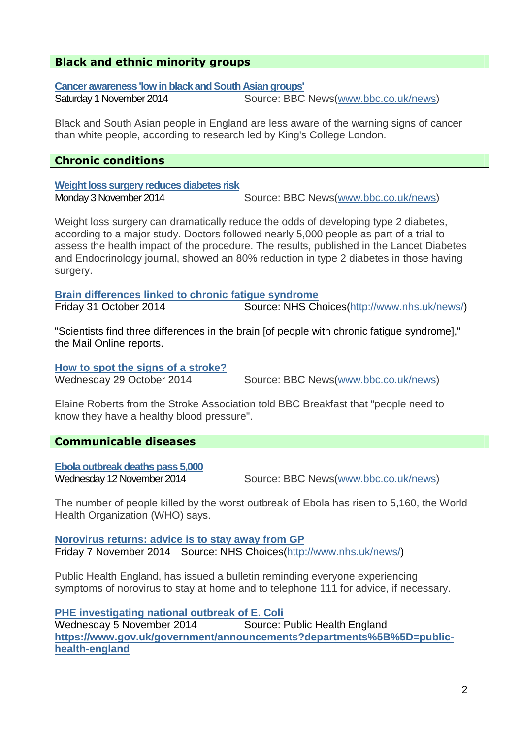# **Black and ethnic minority groups**

**Cancer awareness 'low in black and South Asian groups'**

Saturday 1 November 2014 Source: BBC News(www.bbc.co.uk/news)

Black and South Asian people in England are less aware of the warning signs of cancer than white people, according to research led by King's College London.

### **Chronic conditions**

**Weight loss surgery reduces diabetes risk**

Monday 3 November 2014 Source: BBC News(www.bbc.co.uk/news)

Weight loss surgery can dramatically reduce the odds of developing type 2 diabetes, according to a major study. Doctors followed nearly 5,000 people as part of a trial to assess the health impact of the procedure. The results, published in the Lancet Diabetes and Endocrinology journal, showed an 80% reduction in type 2 diabetes in those having surgery.

**Brain differences linked to chronic fatigue syndrome**

Friday 31 October 2014 Source: NHS Choices(http://www.nhs.uk/news/)

"Scientists find three differences in the brain [of people with chronic fatigue syndrome]," the Mail Online reports.

**How to spot the signs of a stroke?**

Wednesday 29 October 2014Source: BBC News(www.bbc.co.uk/news)

Elaine Roberts from the Stroke Association told BBC Breakfast that "people need to know they have a healthy blood pressure".

# **Communicable diseases**

**Ebola outbreak deaths pass 5,000**

Wednesday 12 November 2014 Source: BBC News(www.bbc.co.uk/news)

The number of people killed by the worst outbreak of Ebola has risen to 5,160, the World Health Organization (WHO) says.

**Norovirus returns: advice is to stay away from GP** Friday 7 November 2014 Source: NHS Choices(http://www.nhs.uk/news/)

Public Health England, has issued a bulletin reminding everyone experiencing symptoms of norovirus to stay at home and to telephone 111 for advice, if necessary.

**PHE investigating national outbreak of E. Coli** Wednesday 5 November 2014 Source: Public Health England **https://www.gov.uk/government/announcements?departments%5B%5D=publichealth-england**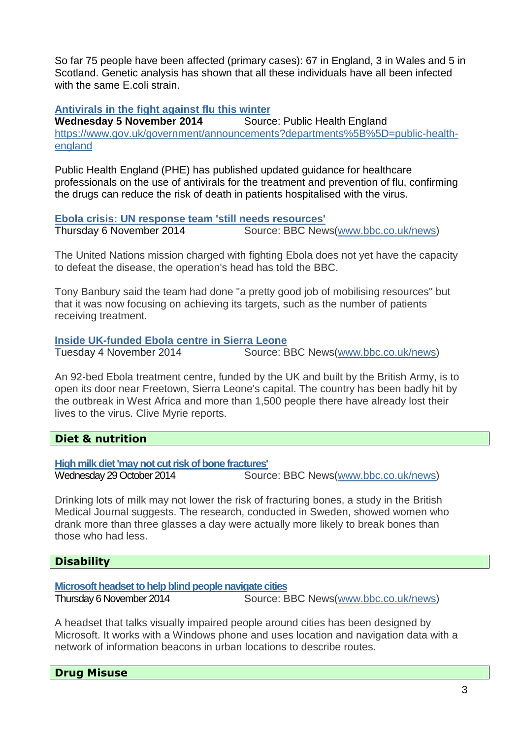So far 75 people have been affected (primary cases): 67 in England, 3 in Wales and 5 in Scotland. Genetic analysis has shown that all these individuals have all been infected with the same F coli strain.

### **Antivirals in the fight against flu this winter**

**Wednesday 5 November 2014** Source: Public Health England https://www.gov.uk/government/announcements?departments%5B%5D=public-healthengland

Public Health England (PHE) has published updated guidance for healthcare professionals on the use of antivirals for the treatment and prevention of flu, confirming the drugs can reduce the risk of death in patients hospitalised with the virus.

#### **Ebola crisis: UN response team 'still needs resources'**

Thursday 6 November 2014 Source: BBC News(www.bbc.co.uk/news)

The United Nations mission charged with fighting Ebola does not yet have the capacity to defeat the disease, the operation's head has told the BBC.

Tony Banbury said the team had done "a pretty good job of mobilising resources" but that it was now focusing on achieving its targets, such as the number of patients receiving treatment.

#### **Inside UK-funded Ebola centre in Sierra Leone**

Tuesday 4 November 2014 Source: BBC News(www.bbc.co.uk/news)

An 92-bed Ebola treatment centre, funded by the UK and built by the British Army, is to open its door near Freetown, Sierra Leone's capital. The country has been badly hit by the outbreak in West Africa and more than 1,500 people there have already lost their lives to the virus. Clive Myrie reports.

#### **Diet & nutrition**

**High milk diet 'may not cut risk of bone fractures'**

Wednesday 29 October 2014 Source: BBC News(www.bbc.co.uk/news)

Drinking lots of milk may not lower the risk of fracturing bones, a study in the British Medical Journal suggests. The research, conducted in Sweden, showed women who drank more than three glasses a day were actually more likely to break bones than those who had less.

# **Disability**

**Microsoft headset to help blind people navigate cities**

Thursday 6 November 2014 Source: BBC News(www.bbc.co.uk/news)

A headset that talks visually impaired people around cities has been designed by Microsoft. It works with a Windows phone and uses location and navigation data with a network of information beacons in urban locations to describe routes.

**Drug Misuse**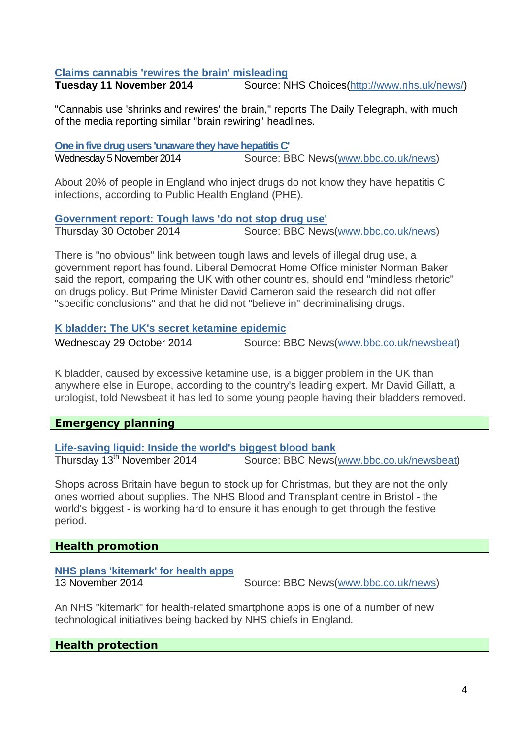# **Claims cannabis 'rewires the brain' misleading**

**Tuesday 11 November 2014** Source: NHS Choices(http://www.nhs.uk/news/)

"Cannabis use 'shrinks and rewires' the brain," reports The Daily Telegraph, with much of the media reporting similar "brain rewiring" headlines.

| One in five drug users 'unaware they have hepatitis C' |                                     |
|--------------------------------------------------------|-------------------------------------|
| Wednesday 5 November 2014                              | Source: BBC News(www.bbc.co.uk/news |

About 20% of people in England who inject drugs do not know they have hepatitis C infections, according to Public Health England (PHE).

**Government report: Tough laws 'do not stop drug use'**

Thursday 30 October 2014Source: BBC News(www.bbc.co.uk/news)

There is "no obvious" link between tough laws and levels of illegal drug use, a government report has found. Liberal Democrat Home Office minister Norman Baker said the report, comparing the UK with other countries, should end "mindless rhetoric" on drugs policy. But Prime Minister David Cameron said the research did not offer "specific conclusions" and that he did not "believe in" decriminalising drugs.

#### **K bladder: The UK's secret ketamine epidemic**

Wednesday 29 October 2014 Source: BBC News(www.bbc.co.uk/newsbeat)

K bladder, caused by excessive ketamine use, is a bigger problem in the UK than anywhere else in Europe, according to the country's leading expert. Mr David Gillatt, a urologist, told Newsbeat it has led to some young people having their bladders removed.

# **Emergency planning**

**Life-saving liquid: Inside the world's biggest blood bank**

Thursday 13th November 2014Source: BBC News(www.bbc.co.uk/newsbeat)

Shops across Britain have begun to stock up for Christmas, but they are not the only ones worried about supplies. The NHS Blood and Transplant centre in Bristol - the world's biggest - is working hard to ensure it has enough to get through the festive period.

# **Health promotion**

#### **NHS plans 'kitemark' for health apps**

13 November 2014 Source: BBC News(www.bbc.co.uk/news)

An NHS "kitemark" for health-related smartphone apps is one of a number of new technological initiatives being backed by NHS chiefs in England.

#### **Health protection**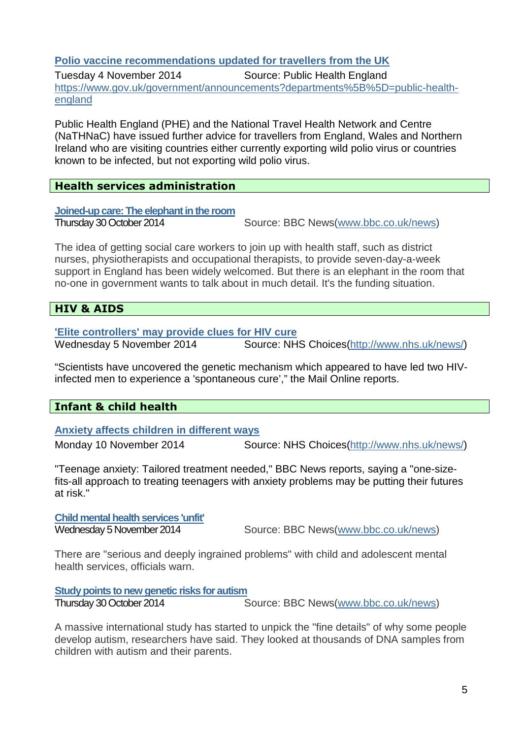# **Polio vaccine recommendations updated for travellers from the UK**

Tuesday 4 November 2014 Source: Public Health England https://www.gov.uk/government/announcements?departments%5B%5D=public-healthengland

Public Health England (PHE) and the National Travel Health Network and Centre (NaTHNaC) have issued further advice for travellers from England, Wales and Northern Ireland who are visiting countries either currently exporting wild polio virus or countries known to be infected, but not exporting wild polio virus.

# **Health services administration**

**Joined-up care: The elephant in the room**

Thursday 30 October 2014 Source: BBC News(www.bbc.co.uk/news)

The idea of getting social care workers to join up with health staff, such as district nurses, physiotherapists and occupational therapists, to provide seven-day-a-week support in England has been widely welcomed. But there is an elephant in the room that no-one in government wants to talk about in much detail. It's the funding situation.

# **HIV & AIDS**

#### **'Elite controllers' may provide clues for HIV cure**

Wednesday 5 November 2014 Source: NHS Choices(http://www.nhs.uk/news/)

"Scientists have uncovered the genetic mechanism which appeared to have led two HIVinfected men to experience a 'spontaneous cure'," the Mail Online reports.

# **Infant & child health**

#### **Anxiety affects children in different ways**

Monday 10 November 2014 Source: NHS Choices(http://www.nhs.uk/news/)

"Teenage anxiety: Tailored treatment needed," BBC News reports, saying a "one-sizefits-all approach to treating teenagers with anxiety problems may be putting their futures at risk."

#### **Child mental health services 'unfit'**

Wednesday 5 November 2014 Source: BBC News(www.bbc.co.uk/news)

There are "serious and deeply ingrained problems" with child and adolescent mental health services, officials warn.

**Study points to new genetic risks for autism**

Thursday 30 October 2014 Source: BBC News(www.bbc.co.uk/news)

A massive international study has started to unpick the "fine details" of why some people develop autism, researchers have said. They looked at thousands of DNA samples from children with autism and their parents.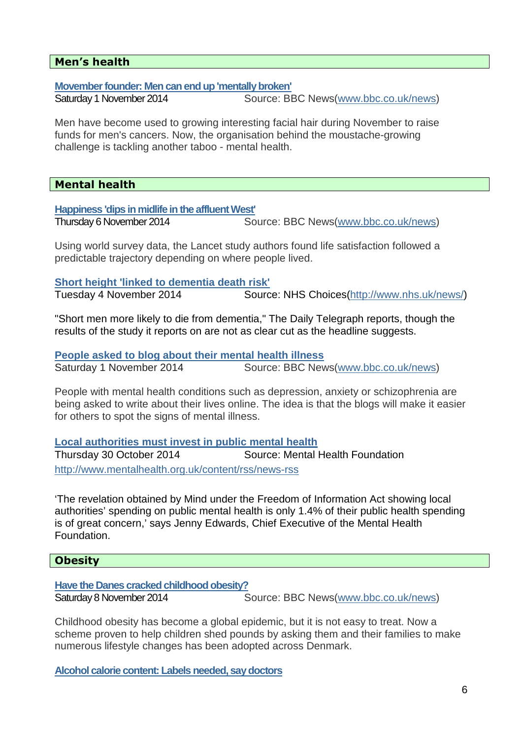# **Men's health**

**Movember founder: Men can end up 'mentally broken'**

Saturday 1 November 2014 Source: BBC News(www.bbc.co.uk/news)

Men have become used to growing interesting facial hair during November to raise funds for men's cancers. Now, the organisation behind the moustache-growing challenge is tackling another taboo - mental health.

#### **Mental health**

**Happiness 'dips in midlife in the affluent West'**

Thursday 6 November 2014 Source: BBC News(www.bbc.co.uk/news)

Using world survey data, the Lancet study authors found life satisfaction followed a predictable trajectory depending on where people lived.

**Short height 'linked to dementia death risk'** 

Tuesday 4 November 2014 Source: NHS Choices(http://www.nhs.uk/news/)

"Short men more likely to die from dementia," The Daily Telegraph reports, though the results of the study it reports on are not as clear cut as the headline suggests.

**People asked to blog about their mental health illness** Saturday 1 November 2014 Source: BBC News(www.bbc.co.uk/news)

People with mental health conditions such as depression, anxiety or schizophrenia are being asked to write about their lives online. The idea is that the blogs will make it easier for others to spot the signs of mental illness.

**Local authorities must invest in public mental health**

Thursday 30 October 2014 Source: Mental Health Foundation http://www.mentalhealth.org.uk/content/rss/news-rss

'The revelation obtained by Mind under the Freedom of Information Act showing local authorities' spending on public mental health is only 1.4% of their public health spending is of great concern,' says Jenny Edwards, Chief Executive of the Mental Health Foundation.

#### **Obesity**

**Have the Danes cracked childhood obesity?**

Saturday 8 November 2014 Source: BBC News(www.bbc.co.uk/news)

Childhood obesity has become a global epidemic, but it is not easy to treat. Now a scheme proven to help children shed pounds by asking them and their families to make numerous lifestyle changes has been adopted across Denmark.

**Alcohol calorie content: Labels needed, say doctors**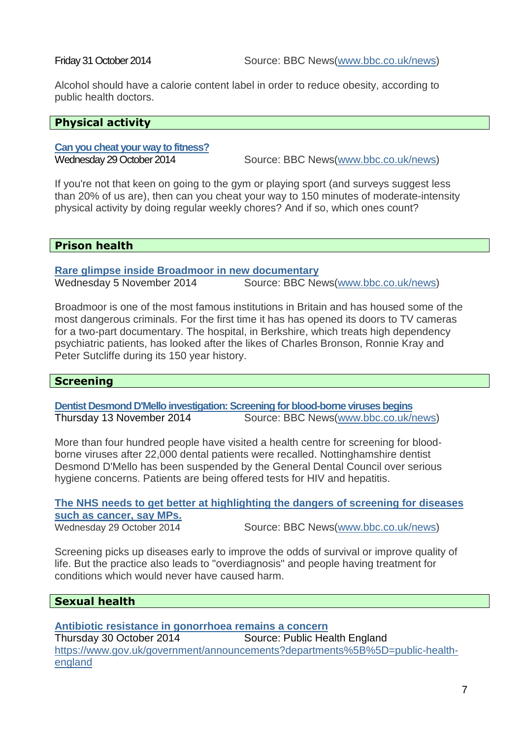Alcohol should have a calorie content label in order to reduce obesity, according to public health doctors.

#### **Physical activity**

# **Can you cheat your way to fitness?**

Wednesday 29 October 2014 Source: BBC News(www.bbc.co.uk/news)

If you're not that keen on going to the gym or playing sport (and surveys suggest less than 20% of us are), then can you cheat your way to 150 minutes of moderate-intensity physical activity by doing regular weekly chores? And if so, which ones count?

# **Prison health**

**Rare glimpse inside Broadmoor in new documentary**

Wednesday 5 November 2014 Source: BBC News(www.bbc.co.uk/news)

Broadmoor is one of the most famous institutions in Britain and has housed some of the most dangerous criminals. For the first time it has has opened its doors to TV cameras for a two-part documentary. The hospital, in Berkshire, which treats high dependency psychiatric patients, has looked after the likes of Charles Bronson, Ronnie Kray and Peter Sutcliffe during its 150 year history.

#### **Screening**

**Dentist Desmond D'Mello investigation: Screening for blood-borne viruses begins** Thursday 13 November 2014 Source: BBC News(www.bbc.co.uk/news)

More than four hundred people have visited a health centre for screening for bloodborne viruses after 22,000 dental patients were recalled. Nottinghamshire dentist Desmond D'Mello has been suspended by the General Dental Council over serious hygiene concerns. Patients are being offered tests for HIV and hepatitis.

# **The NHS needs to get better at highlighting the dangers of screening for diseases such as cancer, say MPs.**

Wednesday 29 October 2014 Source: BBC News(www.bbc.co.uk/news)

Screening picks up diseases early to improve the odds of survival or improve quality of life. But the practice also leads to "overdiagnosis" and people having treatment for conditions which would never have caused harm.

#### **Sexual health**

**Antibiotic resistance in gonorrhoea remains a concern** Thursday 30 October 2014 Source: Public Health England https://www.gov.uk/government/announcements?departments%5B%5D=public-healthengland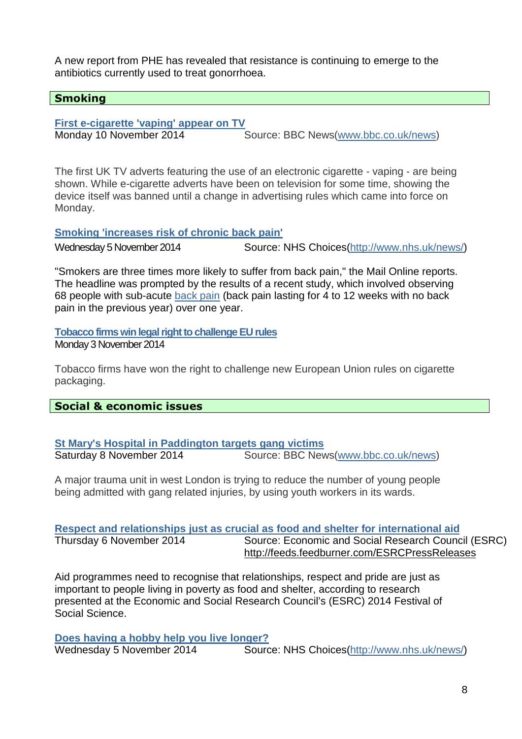A new report from PHE has revealed that resistance is continuing to emerge to the antibiotics currently used to treat gonorrhoea.

#### **Smoking**

**First e-cigarette 'vaping' appear on TV**

Monday 10 November 2014 Source: BBC News(www.bbc.co.uk/news)

The first UK TV adverts featuring the use of an electronic cigarette - vaping - are being shown. While e-cigarette adverts have been on television for some time, showing the device itself was banned until a change in advertising rules which came into force on Monday.

**Smoking 'increases risk of chronic back pain'** 

Wednesday 5 November 2014 Source: NHS Choices(http://www.nhs.uk/news/)

"Smokers are three times more likely to suffer from back pain," the Mail Online reports. The headline was prompted by the results of a recent study, which involved observing 68 people with sub-acute back pain (back pain lasting for 4 to 12 weeks with no back pain in the previous year) over one year.

**Tobacco firms win legal right to challenge EU rules**

Monday 3 November 2014

Tobacco firms have won the right to challenge new European Union rules on cigarette packaging.

#### **Social & economic issues**

#### **St Mary's Hospital in Paddington targets gang victims**

Saturday 8 November 2014 Source: BBC News(www.bbc.co.uk/news)

A major trauma unit in west London is trying to reduce the number of young people being admitted with gang related injuries, by using youth workers in its wards.

#### **Respect and relationships just as crucial as food and shelter for international aid**

Thursday 6 November 2014 Source: Economic and Social Research Council (ESRC) http://feeds.feedburner.com/ESRCPressReleases

Aid programmes need to recognise that relationships, respect and pride are just as important to people living in poverty as food and shelter, according to research presented at the Economic and Social Research Council's (ESRC) 2014 Festival of Social Science.

#### **Does having a hobby help you live longer?**

Wednesday 5 November 2014 Source: NHS Choices(http://www.nhs.uk/news/)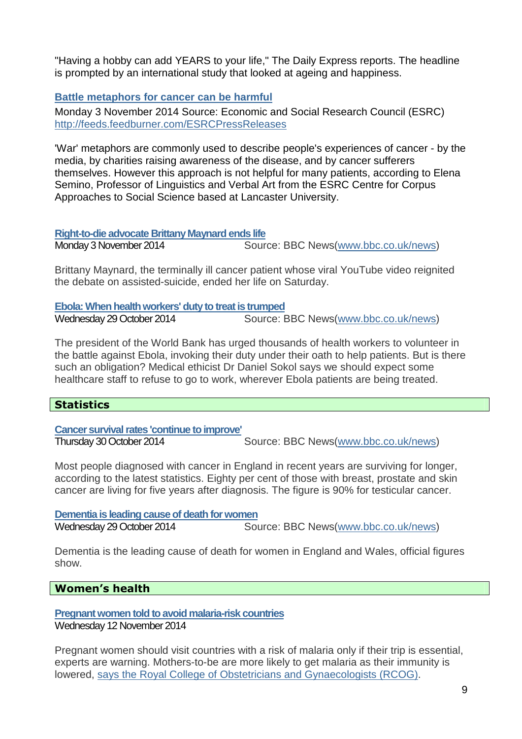"Having a hobby can add YEARS to your life," The Daily Express reports. The headline is prompted by an international study that looked at ageing and happiness.

# **Battle metaphors for cancer can be harmful**

Monday 3 November 2014 Source: Economic and Social Research Council (ESRC) http://feeds.feedburner.com/ESRCPressReleases

'War' metaphors are commonly used to describe people's experiences of cancer - by the media, by charities raising awareness of the disease, and by cancer sufferers themselves. However this approach is not helpful for many patients, according to Elena Semino, Professor of Linguistics and Verbal Art from the ESRC Centre for Corpus Approaches to Social Science based at Lancaster University.

#### **Right-to-die advocate Brittany Maynard ends life**

Monday 3 November 2014 Source: BBC News(www.bbc.co.uk/news)

Brittany Maynard, the terminally ill cancer patient whose viral YouTube video reignited the debate on assisted-suicide, ended her life on Saturday.

**Ebola: When health workers' duty to treat is trumped**

Wednesday 29 October 2014 Source: BBC News(www.bbc.co.uk/news)

The president of the World Bank has urged thousands of health workers to volunteer in the battle against Ebola, invoking their duty under their oath to help patients. But is there such an obligation? Medical ethicist Dr Daniel Sokol says we should expect some healthcare staff to refuse to go to work, wherever Ebola patients are being treated.

# **Statistics**

**Cancer survival rates 'continue to improve'**

Thursday 30 October 2014 Source: BBC News(www.bbc.co.uk/news)

Most people diagnosed with cancer in England in recent years are surviving for longer, according to the latest statistics. Eighty per cent of those with breast, prostate and skin cancer are living for five years after diagnosis. The figure is 90% for testicular cancer.

**Dementia is leading cause of death for women** Wednesday 29 October 2014 Source: BBC News(www.bbc.co.uk/news)

Dementia is the leading cause of death for women in England and Wales, official figures show.

#### **Women's health**

**Pregnant women told to avoid malaria-risk countries** Wednesday 12 November 2014

Pregnant women should visit countries with a risk of malaria only if their trip is essential, experts are warning. Mothers-to-be are more likely to get malaria as their immunity is lowered, says the Royal College of Obstetricians and Gynaecologists (RCOG).